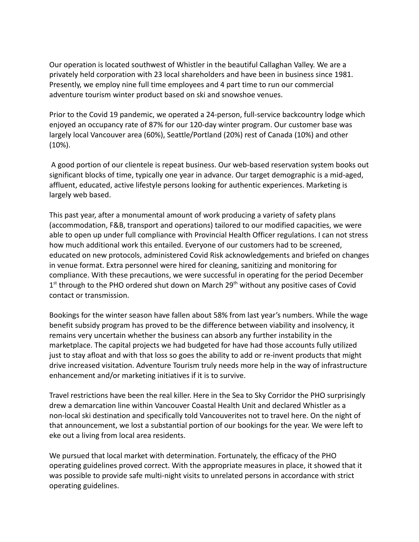Our operation is located southwest of Whistler in the beautiful Callaghan Valley. We are a privately held corporation with 23 local shareholders and have been in business since 1981. Presently, we employ nine full time employees and 4 part time to run our commercial adventure tourism winter product based on ski and snowshoe venues.

Prior to the Covid 19 pandemic, we operated a 24-person, full-service backcountry lodge which enjoyed an occupancy rate of 87% for our 120-day winter program. Our customer base was largely local Vancouver area (60%), Seattle/Portland (20%) rest of Canada (10%) and other (10%).

A good portion of our clientele is repeat business. Our web-based reservation system books out significant blocks of time, typically one year in advance. Our target demographic is a mid-aged, affluent, educated, active lifestyle persons looking for authentic experiences. Marketing is largely web based.

This past year, after a monumental amount of work producing a variety of safety plans (accommodation, F&B, transport and operations) tailored to our modified capacities, we were able to open up under full compliance with Provincial Health Officer regulations. I can not stress how much additional work this entailed. Everyone of our customers had to be screened, educated on new protocols, administered Covid Risk acknowledgements and briefed on changes in venue format. Extra personnel were hired for cleaning, sanitizing and monitoring for compliance. With these precautions, we were successful in operating for the period December  $1<sup>st</sup>$  through to the PHO ordered shut down on March 29<sup>th</sup> without any positive cases of Covid contact or transmission.

Bookings for the winter season have fallen about 58% from last year's numbers. While the wage benefit subsidy program has proved to be the difference between viability and insolvency, it remains very uncertain whether the business can absorb any further instability in the marketplace. The capital projects we had budgeted for have had those accounts fully utilized just to stay afloat and with that loss so goes the ability to add or re-invent products that might drive increased visitation. Adventure Tourism truly needs more help in the way of infrastructure enhancement and/or marketing initiatives if it is to survive.

Travel restrictions have been the real killer. Here in the Sea to Sky Corridor the PHO surprisingly drew a demarcation line within Vancouver Coastal Health Unit and declared Whistler as a non-local ski destination and specifically told Vancouverites not to travel here. On the night of that announcement, we lost a substantial portion of our bookings for the year. We were left to eke out a living from local area residents.

We pursued that local market with determination. Fortunately, the efficacy of the PHO operating guidelines proved correct. With the appropriate measures in place, it showed that it was possible to provide safe multi-night visits to unrelated persons in accordance with strict operating guidelines.